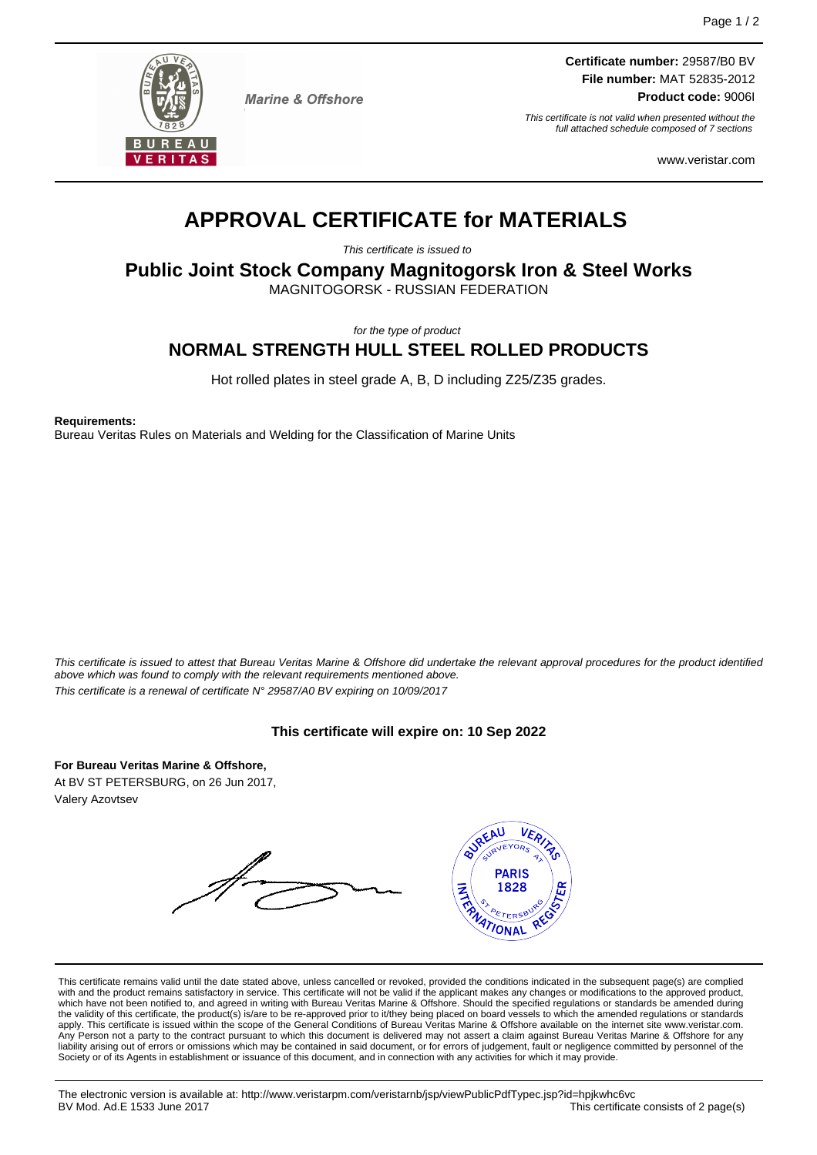

**Marine & Offshore** 

**Certificate number:** 29587/B0 BV **File number:** MAT 52835-2012

**Product code:** 9006I

This certificate is not valid when presented without the full attached schedule composed of 7 sections

www.veristar.com

# **APPROVAL CERTIFICATE for MATERIALS**

This certificate is issued to

**Public Joint Stock Company Magnitogorsk Iron & Steel Works**

MAGNITOGORSK - RUSSIAN FEDERATION

for the type of product

# **NORMAL STRENGTH HULL STEEL ROLLED PRODUCTS**

Hot rolled plates in steel grade A, B, D including Z25/Z35 grades.

**Requirements:**

Bureau Veritas Rules on Materials and Welding for the Classification of Marine Units

This certificate is issued to attest that Bureau Veritas Marine & Offshore did undertake the relevant approval procedures for the product identified above which was found to comply with the relevant requirements mentioned above. This certificate is a renewal of certificate N° 29587/A0 BV expiring on 10/09/2017

# **This certificate will expire on: 10 Sep 2022**

**For Bureau Veritas Marine & Offshore,** At BV ST PETERSBURG, on 26 Jun 2017, Valery Azovtsev

**SUREAU** VER<sub>IZ</sub> Re **PARIS INTER** 1828 **TIONAL** 

This certificate remains valid until the date stated above, unless cancelled or revoked, provided the conditions indicated in the subsequent page(s) are complied with and the product remains satisfactory in service. This certificate will not be valid if the applicant makes any changes or modifications to the approved product, which have not been notified to, and agreed in writing with Bureau Veritas Marine & Offshore. Should the specified regulations or standards be amended during the validity of this certificate, the product(s) is/are to be re-approved prior to it/they being placed on board vessels to which the amended regulations or standards apply. This certificate is issued within the scope of the General Conditions of Bureau Veritas Marine & Offshore available on the internet site www.veristar.com. Any Person not a party to the contract pursuant to which this document is delivered may not assert a claim against Bureau Veritas Marine & Offshore for any liability arising out of errors or omissions which may be contained in said document, or for errors of judgement, fault or negligence committed by personnel of the Society or of its Agents in establishment or issuance of this document, and in connection with any activities for which it may provide.